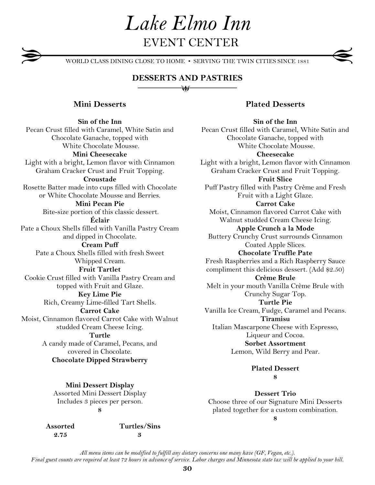*Lake Elmo Inn* EVENT CENTER

WORLD CLASS DINING CLOSE TO HOME • SERVING THE TWIN CITIES SINCE 1881

# **DESSERTS AND PASTRIES** ₩

# **Mini Desserts**

**Sin of the Inn** Pecan Crust filled with Caramel, White Satin and Chocolate Ganache, topped with White Chocolate Mousse. **Mini Cheesecake** Light with a bright, Lemon flavor with Cinnamon Graham Cracker Crust and Fruit Topping. **Croustade** Rosette Batter made into cups filled with Chocolate or White Chocolate Mousse and Berries. **Mini Pecan Pie** Bite-size portion of this classic dessert. **Éclair** Pate a Choux Shells filled with Vanilla Pastry Cream and dipped in Chocolate. **Cream Puff** Pate a Choux Shells filled with fresh Sweet Whipped Cream. **Fruit Tartlet** Cookie Crust filled with Vanilla Pastry Cream and topped with Fruit and Glaze. **Key Lime Pie** Rich, Creamy Lime-filled Tart Shells. **Carrot Cake** Moist, Cinnamon flavored Carrot Cake with Walnut studded Cream Cheese Icing. **Turtle** A candy made of Caramel, Pecans, and covered in Chocolate. **Chocolate Dipped Strawberry**

> **Mini Dessert Display** Assorted Mini Dessert Display Includes 3 pieces per person. **8**

 **Assorted Turtles/Sins 2.75 3**

**Plated Desserts**

**Sin of the Inn** Pecan Crust filled with Caramel, White Satin and Chocolate Ganache, topped with White Chocolate Mousse. **Cheesecake** Light with a bright, Lemon flavor with Cinnamon Graham Cracker Crust and Fruit Topping. **Fruit Slice** Puff Pastry filled with Pastry Crème and Fresh Fruit with a Light Glaze. **Carrot Cake** Moist, Cinnamon flavored Carrot Cake with Walnut studded Cream Cheese Icing. **Apple Crunch a la Mode** Buttery Crunchy Crust surrounds Cinnamon Coated Apple Slices. **Chocolate Truffle Pate** Fresh Raspberries and a Rich Raspberry Sauce compliment this delicious dessert. (Add \$2.50) **Crème Brule** Melt in your mouth Vanilla Crème Brule with Crunchy Sugar Top. **Turtle Pie** Vanilla Ice Cream, Fudge, Caramel and Pecans. **Tiramisu** Italian Mascarpone Cheese with Espresso, Liqueur and Cocoa. **Sorbet Assortment** Lemon, Wild Berry and Pear.

> **Plated Dessert 8**

**Dessert Trio** Choose three of our Signature Mini Desserts plated together for a custom combination. **8**

*All menu items can be modified to fulfill any dietary concerns one many have (GF, Vegan, etc.). Final guest counts are required at least 72 hours in advance of service. Labor charges and Minnesota state tax will be applied to your bill.*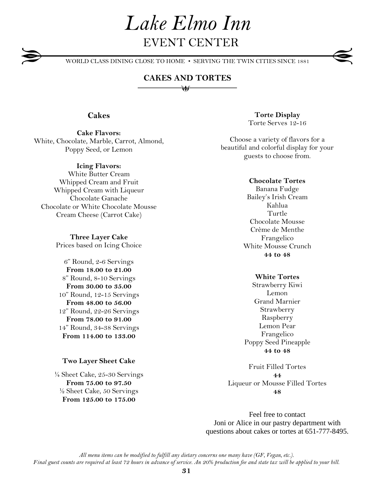# *Lake Elmo Inn* EVENT CENTER

WORLD CLASS DINING CLOSE TO HOME • SERVING THE TWIN CITIES SINCE 1881

## **CAKES AND TORTES** ₩

## **Cakes**

**Cake Flavors:** White, Chocolate, Marble, Carrot, Almond, Poppy Seed, or Lemon

#### **Icing Flavors:**

White Butter Cream Whipped Cream and Fruit Whipped Cream with Liqueur Chocolate Ganache Chocolate or White Chocolate Mousse Cream Cheese (Carrot Cake)

> **Three Layer Cake** Prices based on Icing Choice

6" Round, 2-6 Servings **From 18.00 to 21.00** 8" Round, 8-10 Servings **From 30.00 to 35.00** 10" Round, 12-15 Servings **From 48.00 to 56.00** 12" Round, 22-26 Servings **From 78.00 to 91.00** 14" Round, 34-38 Servings **From 114.00 to 133.00**

#### **Two Layer Sheet Cake**

¼ Sheet Cake, 25-30 Servings **From 75.00 to 97.50** ½ Sheet Cake, 50 Servings **From 125.00 to 175.00**

**Torte Display** Torte Serves 12-16

Choose a variety of flavors for a beautiful and colorful display for your guests to choose from.

#### **Chocolate Tortes**

Banana Fudge Bailey's Irish Cream Kahlua Turtle Chocolate Mousse Crème de Menthe Frangelico White Mousse Crunch **44 to 48**

## **White Tortes**

Strawberry Kiwi Lemon Grand Marnier Strawberry Raspberry Lemon Pear Frangelico Poppy Seed Pineapple **44 to 48**

Fruit Filled Tortes **44** Liqueur or Mousse Filled Tortes **48**

Feel free to contact Joni or Alice in our pastry department with questions about cakes or tortes at 651-777-8495.